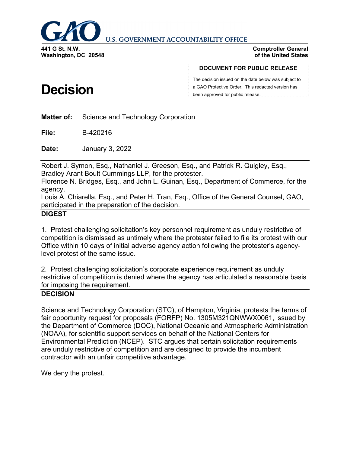

**U.S. GOVERNMENT ACCOUNTABILITY OFFICE** 

**Washington, DC 20548**

#### **Comptroller General of the United States**

#### **DOCUMENT FOR PUBLIC RELEASE**

The decision issued on the date below was subject to a GAO Protective Order. This redacted version has been approved for public release.

**Matter of:** Science and Technology Corporation

**File:** B-420216

**Date:** January 3, 2022

Robert J. Symon, Esq., Nathaniel J. Greeson, Esq., and Patrick R. Quigley, Esq., Bradley Arant Boult Cummings LLP, for the protester.

Florence N. Bridges, Esq., and John L. Guinan, Esq., Department of Commerce, for the agency.

Louis A. Chiarella, Esq., and Peter H. Tran, Esq., Office of the General Counsel, GAO, participated in the preparation of the decision.

#### **DIGEST**

1. Protest challenging solicitation's key personnel requirement as unduly restrictive of competition is dismissed as untimely where the protester failed to file its protest with our Office within 10 days of initial adverse agency action following the protester's agencylevel protest of the same issue.

2. Protest challenging solicitation's corporate experience requirement as unduly restrictive of competition is denied where the agency has articulated a reasonable basis for imposing the requirement.

#### **DECISION**

Science and Technology Corporation (STC), of Hampton, Virginia, protests the terms of fair opportunity request for proposals (FORFP) No. 1305M321QNWWX0061, issued by the Department of Commerce (DOC), National Oceanic and Atmospheric Administration (NOAA), for scientific support services on behalf of the National Centers for Environmental Prediction (NCEP). STC argues that certain solicitation requirements are unduly restrictive of competition and are designed to provide the incumbent contractor with an unfair competitive advantage.

We deny the protest.

# **Decision**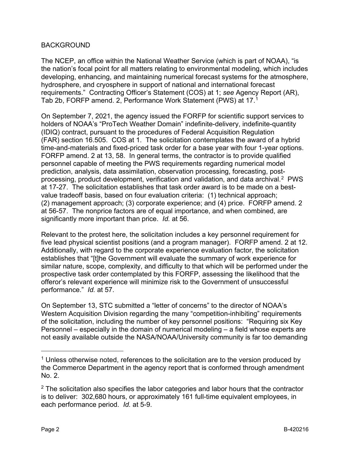### BACKGROUND

The NCEP, an office within the National Weather Service (which is part of NOAA), "is the nation's focal point for all matters relating to environmental modeling, which includes developing, enhancing, and maintaining numerical forecast systems for the atmosphere, hydrosphere, and cryosphere in support of national and international forecast requirements." Contracting Officer's Statement (COS) at 1; *see* Agency Report (AR), Tab 2b, FORFP amend. 2, Performance Work Statement (PWS) at 17.[1](#page-1-0)

On September 7, 2021, the agency issued the FORFP for scientific support services to holders of NOAA's "ProTech Weather Domain" indefinite-delivery, indefinite-quantity (IDIQ) contract, pursuant to the procedures of Federal Acquisition Regulation (FAR) section 16.505. COS at 1. The solicitation contemplates the award of a hybrid time-and-materials and fixed-priced task order for a base year with four 1-year options. FORFP amend. 2 at 13, 58. In general terms, the contractor is to provide qualified personnel capable of meeting the PWS requirements regarding numerical model prediction, analysis, data assimilation, observation processing, forecasting, postprocessing, product development, verification and validation, and data archival.[2](#page-1-1) PWS at 17-27. The solicitation establishes that task order award is to be made on a bestvalue tradeoff basis, based on four evaluation criteria: (1) technical approach; (2) management approach; (3) corporate experience; and (4) price. FORFP amend. 2 at 56-57. The nonprice factors are of equal importance, and when combined, are significantly more important than price. *Id.* at 56.

Relevant to the protest here, the solicitation includes a key personnel requirement for five lead physical scientist positions (and a program manager). FORFP amend. 2 at 12. Additionally, with regard to the corporate experience evaluation factor, the solicitation establishes that "[t]he Government will evaluate the summary of work experience for similar nature, scope, complexity, and difficulty to that which will be performed under the prospective task order contemplated by this FORFP, assessing the likelihood that the offeror's relevant experience will minimize risk to the Government of unsuccessful performance." *Id.* at 57.

On September 13, STC submitted a "letter of concerns" to the director of NOAA's Western Acquisition Division regarding the many "competition-inhibiting" requirements of the solicitation, including the number of key personnel positions: "Requiring six Key Personnel – especially in the domain of numerical modeling – a field whose experts are not easily available outside the NASA/NOAA/University community is far too demanding

<span id="page-1-0"></span> $<sup>1</sup>$  Unless otherwise noted, references to the solicitation are to the version produced by</sup> the Commerce Department in the agency report that is conformed through amendment No. 2.

<span id="page-1-1"></span> $2$  The solicitation also specifies the labor categories and labor hours that the contractor is to deliver: 302,680 hours, or approximately 161 full-time equivalent employees, in each performance period. *Id.* at 5-9.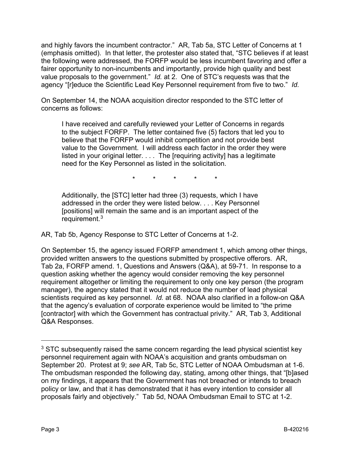and highly favors the incumbent contractor." AR, Tab 5a, STC Letter of Concerns at 1 (emphasis omitted). In that letter, the protester also stated that, "STC believes if at least the following were addressed, the FORFP would be less incumbent favoring and offer a fairer opportunity to non-incumbents and importantly, provide high quality and best value proposals to the government." *Id.* at 2. One of STC's requests was that the agency "[r]educe the Scientific Lead Key Personnel requirement from five to two." *Id.*

On September 14, the NOAA acquisition director responded to the STC letter of concerns as follows:

I have received and carefully reviewed your Letter of Concerns in regards to the subject FORFP. The letter contained five (5) factors that led you to believe that the FORFP would inhibit competition and not provide best value to the Government. I will address each factor in the order they were listed in your original letter. . . . The [requiring activity] has a legitimate need for the Key Personnel as listed in the solicitation.

\* \* \* \* \*

Additionally, the [STC] letter had three (3) requests, which I have addressed in the order they were listed below. . . . Key Personnel [positions] will remain the same and is an important aspect of the requirement.[3](#page-2-0)

AR, Tab 5b, Agency Response to STC Letter of Concerns at 1-2.

On September 15, the agency issued FORFP amendment 1, which among other things, provided written answers to the questions submitted by prospective offerors. AR, Tab 2a, FORFP amend. 1, Questions and Answers (Q&A), at 59-71. In response to a question asking whether the agency would consider removing the key personnel requirement altogether or limiting the requirement to only one key person (the program manager), the agency stated that it would not reduce the number of lead physical scientists required as key personnel. *Id.* at 68. NOAA also clarified in a follow-on Q&A that the agency's evaluation of corporate experience would be limited to "the prime [contractor] with which the Government has contractual privity." AR, Tab 3, Additional Q&A Responses.

<span id="page-2-0"></span><sup>&</sup>lt;sup>3</sup> STC subsequently raised the same concern regarding the lead physical scientist key personnel requirement again with NOAA's acquisition and grants ombudsman on September 20. Protest at 9; *see* AR, Tab 5c, STC Letter of NOAA Ombudsman at 1-6. The ombudsman responded the following day, stating, among other things, that "[b]ased on my findings, it appears that the Government has not breached or intends to breach policy or law, and that it has demonstrated that it has every intention to consider all proposals fairly and objectively." Tab 5d, NOAA Ombudsman Email to STC at 1-2.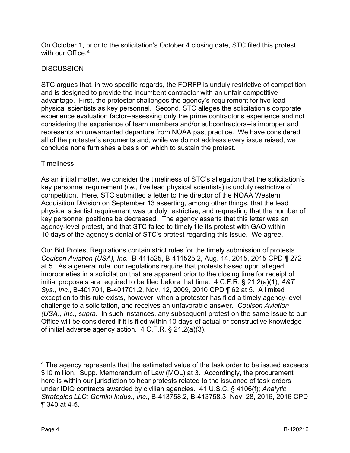On October 1, prior to the solicitation's October 4 closing date, STC filed this protest with our Office  $4$ 

### **DISCUSSION**

STC argues that, in two specific regards, the FORFP is unduly restrictive of competition and is designed to provide the incumbent contractor with an unfair competitive advantage. First, the protester challenges the agency's requirement for five lead physical scientists as key personnel. Second, STC alleges the solicitation's corporate experience evaluation factor--assessing only the prime contractor's experience and not considering the experience of team members and/or subcontractors--is improper and represents an unwarranted departure from NOAA past practice. We have considered all of the protester's arguments and, while we do not address every issue raised, we conclude none furnishes a basis on which to sustain the protest.

#### **Timeliness**

As an initial matter, we consider the timeliness of STC's allegation that the solicitation's key personnel requirement (*i.e.*, five lead physical scientists) is unduly restrictive of competition. Here, STC submitted a letter to the director of the NOAA Western Acquisition Division on September 13 asserting, among other things, that the lead physical scientist requirement was unduly restrictive, and requesting that the number of key personnel positions be decreased. The agency asserts that this letter was an agency-level protest, and that STC failed to timely file its protest with GAO within 10 days of the agency's denial of STC's protest regarding this issue. We agree.

Our Bid Protest Regulations contain strict rules for the timely submission of protests. *Coulson Aviation (USA), Inc.*, B-411525, B-411525.2, Aug. 14, 2015, 2015 CPD ¶ 272 at 5. As a general rule, our regulations require that protests based upon alleged improprieties in a solicitation that are apparent prior to the closing time for receipt of initial proposals are required to be filed before that time. 4 C.F.R. § 21.2(a)(1); *A&T Sys., Inc.*, B-401701, B-401701.2, Nov. 12, 2009, 2010 CPD ¶ 62 at 5. A limited exception to this rule exists, however, when a protester has filed a timely agency-level challenge to a solicitation, and receives an unfavorable answer. *Coulson Aviation (USA), Inc.*, *supra*. In such instances, any subsequent protest on the same issue to our Office will be considered if it is filed within 10 days of actual or constructive knowledge of initial adverse agency action. 4 C.F.R. § 21.2(a)(3).

<span id="page-3-0"></span> $4$  The agency represents that the estimated value of the task order to be issued exceeds \$10 million. Supp. Memorandum of Law (MOL) at 3. Accordingly, the procurement here is within our jurisdiction to hear protests related to the issuance of task orders under IDIQ contracts awarded by civilian agencies. 41 U.S.C. § 4106(f); *Analytic Strategies LLC; Gemini Indus., Inc.*, B-413758.2, B-413758.3, Nov. 28, 2016, 2016 CPD ¶ 340 at 4-5.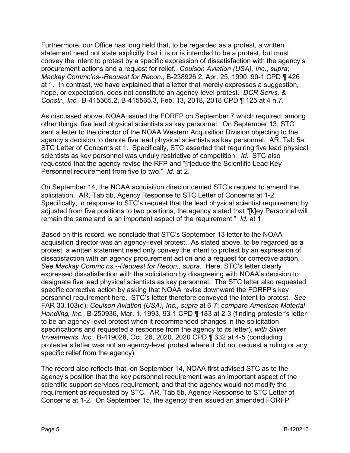Furthermore, our Office has long held that, to be regarded as a protest, a written statement need not state explicitly that it is or is intended to be a protest, but must convey the intent to protest by a specific expression of dissatisfaction with the agency's procurement actions and a request for relief. *Coulson Aviation (USA), Inc.*, *supra*; *Mackay Commc'ns--Request for Recon.*, B-238926.2, Apr. 25, 1990, 90-1 CPD ¶ 426 at 1. In contrast, we have explained that a letter that merely expresses a suggestion, hope, or expectation, does not constitute an agency-level protest. *DCR Servs. & Constr., Inc.*, B-415565.2, B-415565.3, Feb. 13, 2018, 2018 CPD ¶ 125 at 4 n.7.

As discussed above, NOAA issued the FORFP on September 7 which required, among other things, five lead physical scientists as key personnel. On September 13, STC sent a letter to the director of the NOAA Western Acquisition Division objecting to the agency's decision to denote five lead physical scientists as key personnel. AR, Tab 5a, STC Letter of Concerns at 1. Specifically, STC asserted that requiring five lead physical scientists as key personnel was unduly restrictive of competition. *Id.* STC also requested that the agency revise the RFP and "[r]educe the Scientific Lead Key Personnel requirement from five to two." *Id.* at 2.

On September 14, the NOAA acquisition director denied STC's request to amend the solicitation. AR, Tab 5b, Agency Response to STC Letter of Concerns at 1-2. Specifically, in response to STC's request that the lead physical scientist requirement by adjusted from five positions to two positions, the agency stated that "[k]ey Personnel will remain the same and is an important aspect of the requirement." *Id.* at 1.

Based on this record, we conclude that STC's September 13 letter to the NOAA acquisition director was an agency-level protest. As stated above, to be regarded as a protest, a written statement need only convey the intent to protest by an expression of dissatisfaction with an agency procurement action and a request for corrective action. *See Mackay Commc'ns.--Request for Recon.*, *supra*. Here, STC's letter clearly expressed dissatisfaction with the solicitation by disagreeing with NOAA's decision to designate five lead physical scientists as key personnel. The STC letter also requested specific corrective action by asking that NOAA revise downward the FORFP's key personnel requirement here. STC's letter therefore conveyed the intent to protest. *See* FAR 33.103(d); *Coulson Aviation (USA), Inc.*, *supra* at 6-7; *compare American Material Handling, Inc.*, B-250936, Mar. 1, 1993, 93-1 CPD ¶ 183 at 2-3 (finding protester's letter to be an agency-level protest when it recommended changes in the solicitation specifications and requested a response from the agency to its letter), *with Silver Investments, Inc.*, B-419028, Oct. 26, 2020, 2020 CPD ¶ 332 at 4-5 (concluding protester's letter was not an agency-level protest where it did not request a ruling or any specific relief from the agency).

The record also reflects that, on September 14, NOAA first advised STC as to the agency's position that the key personnel requirement was an important aspect of the scientific support services requirement, and that the agency would not modify the requirement as requested by STC. AR, Tab 5b, Agency Response to STC Letter of Concerns at 1-2. On September 15, the agency then issued an amended FORFP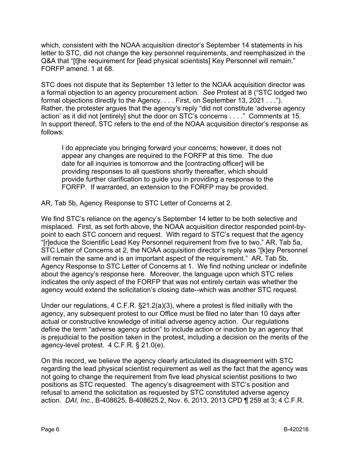which, consistent with the NOAA acquisition director's September 14 statements in his letter to STC, did not change the key personnel requirements, and reemphasized in the Q&A that "[t]he requirement for [lead physical scientists] Key Personnel will remain." FORFP amend. 1 at 68.

STC does not dispute that its September 13 letter to the NOAA acquisition director was a formal objection to an agency procurement action. *See* Protest at 8 ("STC lodged two formal objections directly to the Agency. . . . First, on September 13, 2021 . . ."). Rather, the protester argues that the agency's reply "did not constitute 'adverse agency action' as it did not [entirely] shut the door on STC's concerns . . . ." Comments at 15. In support thereof, STC refers to the end of the NOAA acquisition director's response as follows:

I do appreciate you bringing forward your concerns; however, it does not appear any changes are required to the FORFP at this time. The due date for all inquiries is tomorrow and the [contracting officer] will be providing responses to all questions shortly thereafter, which should provide further clarification to guide you in providing a response to the FORFP. If warranted, an extension to the FORFP may be provided.

AR, Tab 5b, Agency Response to STC Letter of Concerns at 2.

We find STC's reliance on the agency's September 14 letter to be both selective and misplaced. First, as set forth above, the NOAA acquisition director responded point-bypoint to each STC concern and request. With regard to STC's request that the agency "[r]educe the Scientific Lead Key Personnel requirement from five to two," AR, Tab 5a, STC Letter of Concerns at 2, the NOAA acquisition director's reply was "[k]ey Personnel will remain the same and is an important aspect of the requirement." AR, Tab 5b, Agency Response to STC Letter of Concerns at 1. We find nothing unclear or indefinite about the agency's response here. Moreover, the language upon which STC relies indicates the only aspect of the FORFP that was not entirely certain was whether the agency would extend the solicitation's closing date--which was another STC request.

Under our regulations, 4 C.F.R. §21.2(a)(3), where a protest is filed initially with the agency, any subsequent protest to our Office must be filed no later than 10 days after actual or constructive knowledge of initial adverse agency action. Our regulations define the term "adverse agency action" to include action or inaction by an agency that is prejudicial to the position taken in the protest, including a decision on the merits of the agency-level protest. 4 C.F.R. § 21.0(e).

On this record, we believe the agency clearly articulated its disagreement with STC regarding the lead physical scientist requirement as well as the fact that the agency was not going to change the requirement from five lead physical scientist positions to two positions as STC requested. The agency's disagreement with STC's position and refusal to amend the solicitation as requested by STC constituted adverse agency action. *DAI, Inc.*, B-408625, B-408625.2, Nov. 6, 2013, 2013 CPD ¶ 259 at 3; 4 C.F.R.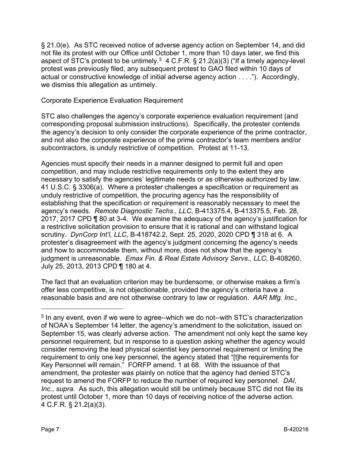§ 21.0(e). As STC received notice of adverse agency action on September 14, and did not file its protest with our Office until October 1, more than 10 days later, we find this aspect of STC's protest to be untimely.<sup>[5](#page-6-0)</sup> 4 C.F.R. § 21.2(a)(3) ("If a timely agency-level protest was previously filed, any subsequent protest to GAO filed within 10 days of actual or constructive knowledge of initial adverse agency action . . . ."). Accordingly, we dismiss this allegation as untimely.

### Corporate Experience Evaluation Requirement

STC also challenges the agency's corporate experience evaluation requirement (and corresponding proposal submission instructions). Specifically, the protester contends the agency's decision to only consider the corporate experience of the prime contractor, and not also the corporate experience of the prime contractor's team members and/or subcontractors, is unduly restrictive of competition. Protest at 11-13.

Agencies must specify their needs in a manner designed to permit full and open competition, and may include restrictive requirements only to the extent they are necessary to satisfy the agencies' legitimate needs or as otherwise authorized by law. 41 U.S.C. § 3306(a). Where a protester challenges a specification or requirement as unduly restrictive of competition, the procuring agency has the responsibility of establishing that the specification or requirement is reasonably necessary to meet the agency's needs. *Remote Diagnostic Techs., LLC*, B-413375.4, B-413375.5, Feb. 28, 2017, 2017 CPD ¶ 80 at 3-4. We examine the adequacy of the agency's justification for a restrictive solicitation provision to ensure that it is rational and can withstand logical scrutiny. *DynCorp Int'l, LLC*, B-418742.2, Sept. 25, 2020, 2020 CPD ¶ 318 at 6. A protester's disagreement with the agency's judgment concerning the agency's needs and how to accommodate them, without more, does not show that the agency's judgment is unreasonable. *Emax Fin. & Real Estate Advisory Servs., LLC*, B-408260, July 25, 2013, 2013 CPD ¶ 180 at 4.

The fact that an evaluation criterion may be burdensome, or otherwise makes a firm's offer less competitive, is not objectionable, provided the agency's criteria have a reasonable basis and are not otherwise contrary to law or regulation. *AAR Mfg. Inc.,* 

<span id="page-6-0"></span><sup>&</sup>lt;sup>5</sup> In any event, even if we were to agree--which we do not--with STC's characterization of NOAA's September 14 letter, the agency's amendment to the solicitation, issued on September 15, was clearly adverse action. The amendment not only kept the same key personnel requirement, but in response to a question asking whether the agency would consider removing the lead physical scientist key personnel requirement or limiting the requirement to only one key personnel, the agency stated that "[t]he requirements for Key Personnel will remain." FORFP amend. 1 at 68. With the issuance of that amendment, the protester was plainly on notice that the agency had denied STC's request to amend the FORFP to reduce the number of required key personnel. *DAI, Inc.*, *supra*. As such, this allegation would still be untimely because STC did not file its protest until October 1, more than 10 days of receiving notice of the adverse action. 4 C.F.R. § 21.2(a)(3).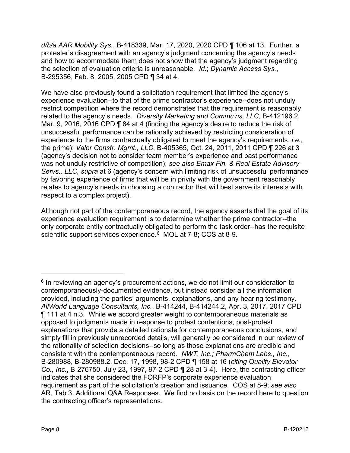*d/b/a AAR Mobility Sys.*, B-418339, Mar. 17, 2020, 2020 CPD ¶ 106 at 13. Further, a protester's disagreement with an agency's judgment concerning the agency's needs and how to accommodate them does not show that the agency's judgment regarding the selection of evaluation criteria is unreasonable. *Id.*; *Dynamic Access Sys.*, B-295356, Feb. 8, 2005, 2005 CPD ¶ 34 at 4.

We have also previously found a solicitation requirement that limited the agency's experience evaluation--to that of the prime contractor's experience--does not unduly restrict competition where the record demonstrates that the requirement is reasonably related to the agency's needs. *Diversity Marketing and Commc'ns, LLC*, B-412196.2, Mar. 9, 2016, 2016 CPD ¶ 84 at 4 (finding the agency's desire to reduce the risk of unsuccessful performance can be rationally achieved by restricting consideration of experience to the firms contractually obligated to meet the agency's requirements, *i.e.*, the prime); *Valor Constr. Mgmt., LLC*, B-405365, Oct. 24, 2011, 2011 CPD ¶ 226 at 3 (agency's decision not to consider team member's experience and past performance was not unduly restrictive of competition); *see also Emax Fin. & Real Estate Advisory Servs., LLC*, *supra* at 6 (agency's concern with limiting risk of unsuccessful performance by favoring experience of firms that will be in privity with the government reasonably relates to agency's needs in choosing a contractor that will best serve its interests with respect to a complex project).

Although not part of the contemporaneous record, the agency asserts that the goal of its experience evaluation requirement is to determine whether the prime contractor--the only corporate entity contractually obligated to perform the task order--has the requisite scientific support services experience.<sup>[6](#page-7-0)</sup> MOL at 7-8; COS at 8-9.

<span id="page-7-0"></span> $6$  In reviewing an agency's procurement actions, we do not limit our consideration to contemporaneously-documented evidence, but instead consider all the information provided, including the parties' arguments, explanations, and any hearing testimony. *AllWorld Language Consultants, Inc.*, B-414244, B-414244.2, Apr. 3, 2017, 2017 CPD ¶ 111 at 4 n.3. While we accord greater weight to contemporaneous materials as opposed to judgments made in response to protest contentions, post-protest explanations that provide a detailed rationale for contemporaneous conclusions, and simply fill in previously unrecorded details, will generally be considered in our review of the rationality of selection decisions--so long as those explanations are credible and consistent with the contemporaneous record. *NWT, Inc.; PharmChem Labs., Inc.*, B-280988, B-280988.2, Dec. 17, 1998, 98-2 CPD ¶ 158 at 16 (*citing Quality Elevator Co., Inc.*, B-276750, July 23, 1997, 97-2 CPD ¶ 28 at 3-4). Here, the contracting officer indicates that she considered the FORFP's corporate experience evaluation requirement as part of the solicitation's creation and issuance. COS at 8-9; *see also* AR, Tab 3, Additional Q&A Responses. We find no basis on the record here to question the contracting officer's representations.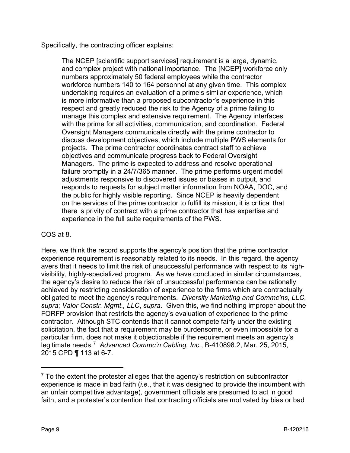Specifically, the contracting officer explains:

The NCEP [scientific support services] requirement is a large, dynamic, and complex project with national importance. The [NCEP] workforce only numbers approximately 50 federal employees while the contractor workforce numbers 140 to 164 personnel at any given time. This complex undertaking requires an evaluation of a prime's similar experience, which is more informative than a proposed subcontractor's experience in this respect and greatly reduced the risk to the Agency of a prime failing to manage this complex and extensive requirement. The Agency interfaces with the prime for all activities, communication, and coordination. Federal Oversight Managers communicate directly with the prime contractor to discuss development objectives, which include multiple PWS elements for projects. The prime contractor coordinates contract staff to achieve objectives and communicate progress back to Federal Oversight Managers. The prime is expected to address and resolve operational failure promptly in a 24/7/365 manner. The prime performs urgent model adjustments responsive to discovered issues or biases in output, and responds to requests for subject matter information from NOAA, DOC, and the public for highly visible reporting. Since NCEP is heavily dependent on the services of the prime contractor to fulfill its mission, it is critical that there is privity of contract with a prime contractor that has expertise and experience in the full suite requirements of the PWS.

## COS at 8.

Here, we think the record supports the agency's position that the prime contractor experience requirement is reasonably related to its needs. In this regard, the agency avers that it needs to limit the risk of unsuccessful performance with respect to its highvisibility, highly-specialized program. As we have concluded in similar circumstances, the agency's desire to reduce the risk of unsuccessful performance can be rationally achieved by restricting consideration of experience to the firms which are contractually obligated to meet the agency's requirements. *Diversity Marketing and Commc'ns, LLC*, *supra*; *Valor Constr. Mgmt., LLC*, *supra*. Given this, we find nothing improper about the FORFP provision that restricts the agency's evaluation of experience to the prime contractor. Although STC contends that it cannot compete fairly under the existing solicitation, the fact that a requirement may be burdensome, or even impossible for a particular firm, does not make it objectionable if the requirement meets an agency's legitimate needs.[7](#page-8-0) *Advanced Commc'n Cabling, Inc.*, B-410898.2, Mar. 25, 2015, 2015 CPD ¶ 113 at 6-7.

<span id="page-8-0"></span> $<sup>7</sup>$  To the extent the protester alleges that the agency's restriction on subcontractor</sup> experience is made in bad faith (*i.e.*, that it was designed to provide the incumbent with an unfair competitive advantage), government officials are presumed to act in good faith, and a protester's contention that contracting officials are motivated by bias or bad